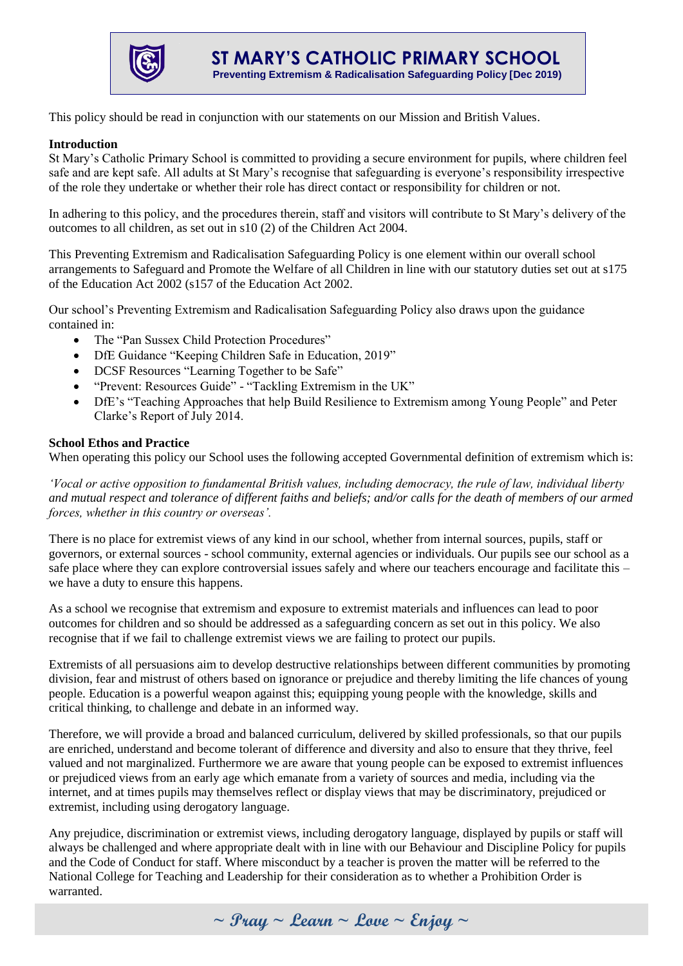

This policy should be read in conjunction with our statements on our Mission and British Values.

#### **Introduction**

St Mary's Catholic Primary School is committed to providing a secure environment for pupils, where children feel safe and are kept safe. All adults at St Mary's recognise that safeguarding is everyone's responsibility irrespective of the role they undertake or whether their role has direct contact or responsibility for children or not.

In adhering to this policy, and the procedures therein, staff and visitors will contribute to St Mary's delivery of the outcomes to all children, as set out in s10 (2) of the Children Act 2004.

This Preventing Extremism and Radicalisation Safeguarding Policy is one element within our overall school arrangements to Safeguard and Promote the Welfare of all Children in line with our statutory duties set out at s175 of the Education Act 2002 (s157 of the Education Act 2002.

Our school's Preventing Extremism and Radicalisation Safeguarding Policy also draws upon the guidance contained in:

- The "Pan Sussex Child Protection Procedures"
- DfE Guidance "Keeping Children Safe in Education, 2019"
- DCSF Resources "Learning Together to be Safe"
- "Prevent: Resources Guide" "Tackling Extremism in the UK"
- DfE's "Teaching Approaches that help Build Resilience to Extremism among Young People" and Peter Clarke's Report of July 2014.

### **School Ethos and Practice**

When operating this policy our School uses the following accepted Governmental definition of extremism which is:

*'Vocal or active opposition to fundamental British values, including democracy, the rule of law, individual liberty and mutual respect and tolerance of different faiths and beliefs; and/or calls for the death of members of our armed forces, whether in this country or overseas'.*

There is no place for extremist views of any kind in our school, whether from internal sources, pupils, staff or governors, or external sources - school community, external agencies or individuals. Our pupils see our school as a safe place where they can explore controversial issues safely and where our teachers encourage and facilitate this – we have a duty to ensure this happens.

As a school we recognise that extremism and exposure to extremist materials and influences can lead to poor outcomes for children and so should be addressed as a safeguarding concern as set out in this policy. We also recognise that if we fail to challenge extremist views we are failing to protect our pupils.

Extremists of all persuasions aim to develop destructive relationships between different communities by promoting division, fear and mistrust of others based on ignorance or prejudice and thereby limiting the life chances of young people. Education is a powerful weapon against this; equipping young people with the knowledge, skills and critical thinking, to challenge and debate in an informed way.

Therefore, we will provide a broad and balanced curriculum, delivered by skilled professionals, so that our pupils are enriched, understand and become tolerant of difference and diversity and also to ensure that they thrive, feel valued and not marginalized. Furthermore we are aware that young people can be exposed to extremist influences or prejudiced views from an early age which emanate from a variety of sources and media, including via the internet, and at times pupils may themselves reflect or display views that may be discriminatory, prejudiced or extremist, including using derogatory language.

Any prejudice, discrimination or extremist views, including derogatory language, displayed by pupils or staff will always be challenged and where appropriate dealt with in line with our Behaviour and Discipline Policy for pupils and the Code of Conduct for staff. Where misconduct by a teacher is proven the matter will be referred to the National College for Teaching and Leadership for their consideration as to whether a Prohibition Order is warranted.

**~ Pray ~ Learn ~ Love ~ Enjoy ~**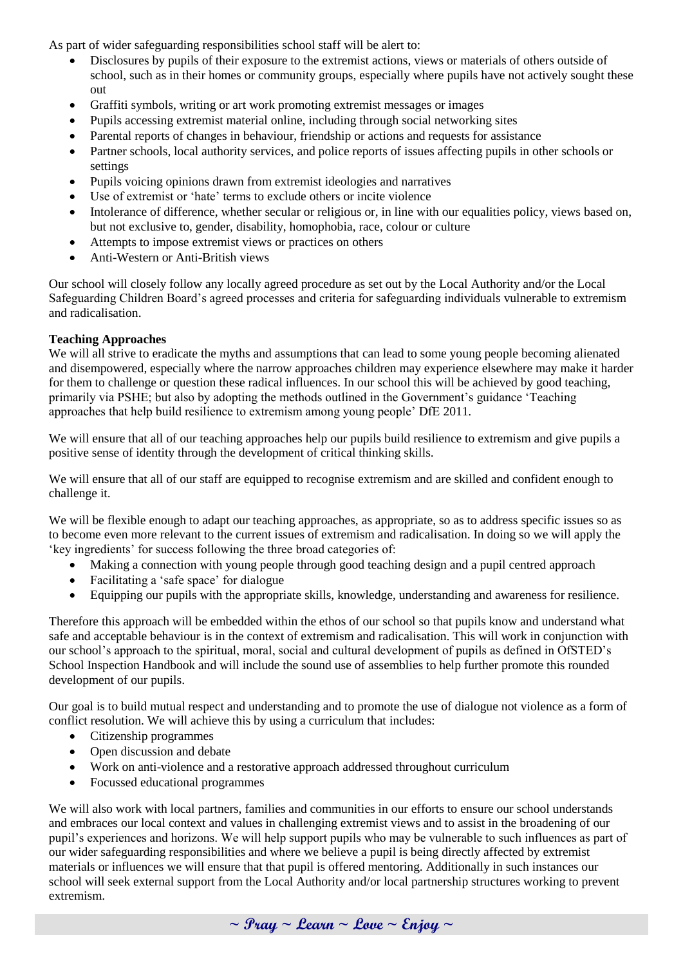As part of wider safeguarding responsibilities school staff will be alert to:

- Disclosures by pupils of their exposure to the extremist actions, views or materials of others outside of school, such as in their homes or community groups, especially where pupils have not actively sought these out
- Graffiti symbols, writing or art work promoting extremist messages or images
- Pupils accessing extremist material online, including through social networking sites
- Parental reports of changes in behaviour, friendship or actions and requests for assistance
- Partner schools, local authority services, and police reports of issues affecting pupils in other schools or settings
- Pupils voicing opinions drawn from extremist ideologies and narratives
- Use of extremist or 'hate' terms to exclude others or incite violence
- Intolerance of difference, whether secular or religious or, in line with our equalities policy, views based on, but not exclusive to, gender, disability, homophobia, race, colour or culture
- Attempts to impose extremist views or practices on others
- Anti-Western or Anti-British views

Our school will closely follow any locally agreed procedure as set out by the Local Authority and/or the Local Safeguarding Children Board's agreed processes and criteria for safeguarding individuals vulnerable to extremism and radicalisation.

# **Teaching Approaches**

We will all strive to eradicate the myths and assumptions that can lead to some young people becoming alienated and disempowered, especially where the narrow approaches children may experience elsewhere may make it harder for them to challenge or question these radical influences. In our school this will be achieved by good teaching, primarily via PSHE; but also by adopting the methods outlined in the Government's guidance 'Teaching approaches that help build resilience to extremism among young people' DfE 2011.

We will ensure that all of our teaching approaches help our pupils build resilience to extremism and give pupils a positive sense of identity through the development of critical thinking skills.

We will ensure that all of our staff are equipped to recognise extremism and are skilled and confident enough to challenge it.

We will be flexible enough to adapt our teaching approaches, as appropriate, so as to address specific issues so as to become even more relevant to the current issues of extremism and radicalisation. In doing so we will apply the 'key ingredients' for success following the three broad categories of:

- Making a connection with young people through good teaching design and a pupil centred approach
- Facilitating a 'safe space' for dialogue
- Equipping our pupils with the appropriate skills, knowledge, understanding and awareness for resilience.

Therefore this approach will be embedded within the ethos of our school so that pupils know and understand what safe and acceptable behaviour is in the context of extremism and radicalisation. This will work in conjunction with our school's approach to the spiritual, moral, social and cultural development of pupils as defined in OfSTED's School Inspection Handbook and will include the sound use of assemblies to help further promote this rounded development of our pupils.

Our goal is to build mutual respect and understanding and to promote the use of dialogue not violence as a form of conflict resolution. We will achieve this by using a curriculum that includes:

- Citizenship programmes
- Open discussion and debate
- Work on anti-violence and a restorative approach addressed throughout curriculum
- Focussed educational programmes

We will also work with local partners, families and communities in our efforts to ensure our school understands and embraces our local context and values in challenging extremist views and to assist in the broadening of our pupil's experiences and horizons. We will help support pupils who may be vulnerable to such influences as part of our wider safeguarding responsibilities and where we believe a pupil is being directly affected by extremist materials or influences we will ensure that that pupil is offered mentoring. Additionally in such instances our school will seek external support from the Local Authority and/or local partnership structures working to prevent extremism.

**~ Pray ~ Learn ~ Love ~ Enjoy ~**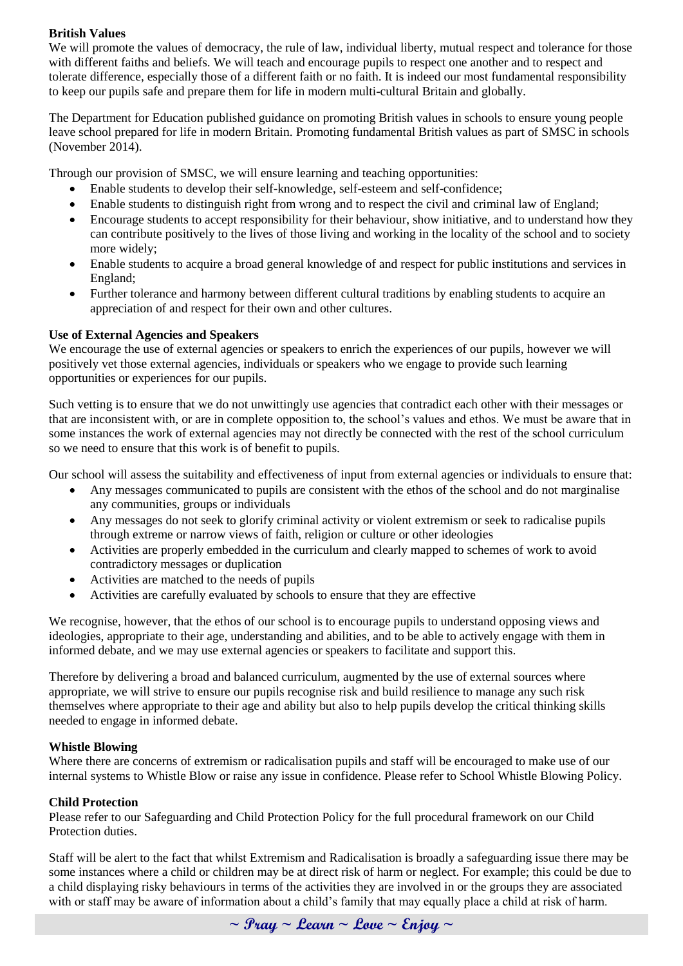## **British Values**

We will promote the values of democracy, the rule of law, individual liberty, mutual respect and tolerance for those with different faiths and beliefs. We will teach and encourage pupils to respect one another and to respect and tolerate difference, especially those of a different faith or no faith. It is indeed our most fundamental responsibility to keep our pupils safe and prepare them for life in modern multi-cultural Britain and globally.

The Department for Education published guidance on promoting British values in schools to ensure young people leave school prepared for life in modern Britain. Promoting fundamental British values as part of SMSC in schools (November 2014).

Through our provision of SMSC, we will ensure learning and teaching opportunities:

- Enable students to develop their self-knowledge, self-esteem and self-confidence;
- Enable students to distinguish right from wrong and to respect the civil and criminal law of England;
- Encourage students to accept responsibility for their behaviour, show initiative, and to understand how they can contribute positively to the lives of those living and working in the locality of the school and to society more widely;
- Enable students to acquire a broad general knowledge of and respect for public institutions and services in England;
- Further tolerance and harmony between different cultural traditions by enabling students to acquire an appreciation of and respect for their own and other cultures.

### **Use of External Agencies and Speakers**

We encourage the use of external agencies or speakers to enrich the experiences of our pupils, however we will positively vet those external agencies, individuals or speakers who we engage to provide such learning opportunities or experiences for our pupils.

Such vetting is to ensure that we do not unwittingly use agencies that contradict each other with their messages or that are inconsistent with, or are in complete opposition to, the school's values and ethos. We must be aware that in some instances the work of external agencies may not directly be connected with the rest of the school curriculum so we need to ensure that this work is of benefit to pupils.

Our school will assess the suitability and effectiveness of input from external agencies or individuals to ensure that:

- Any messages communicated to pupils are consistent with the ethos of the school and do not marginalise any communities, groups or individuals
- Any messages do not seek to glorify criminal activity or violent extremism or seek to radicalise pupils through extreme or narrow views of faith, religion or culture or other ideologies
- Activities are properly embedded in the curriculum and clearly mapped to schemes of work to avoid contradictory messages or duplication
- Activities are matched to the needs of pupils
- Activities are carefully evaluated by schools to ensure that they are effective

We recognise, however, that the ethos of our school is to encourage pupils to understand opposing views and ideologies, appropriate to their age, understanding and abilities, and to be able to actively engage with them in informed debate, and we may use external agencies or speakers to facilitate and support this.

Therefore by delivering a broad and balanced curriculum, augmented by the use of external sources where appropriate, we will strive to ensure our pupils recognise risk and build resilience to manage any such risk themselves where appropriate to their age and ability but also to help pupils develop the critical thinking skills needed to engage in informed debate.

#### **Whistle Blowing**

Where there are concerns of extremism or radicalisation pupils and staff will be encouraged to make use of our internal systems to Whistle Blow or raise any issue in confidence. Please refer to School Whistle Blowing Policy.

#### **Child Protection**

Please refer to our Safeguarding and Child Protection Policy for the full procedural framework on our Child Protection duties.

Staff will be alert to the fact that whilst Extremism and Radicalisation is broadly a safeguarding issue there may be some instances where a child or children may be at direct risk of harm or neglect. For example; this could be due to a child displaying risky behaviours in terms of the activities they are involved in or the groups they are associated with or staff may be aware of information about a child's family that may equally place a child at risk of harm.

**~ Pray ~ Learn ~ Love ~ Enjoy ~**